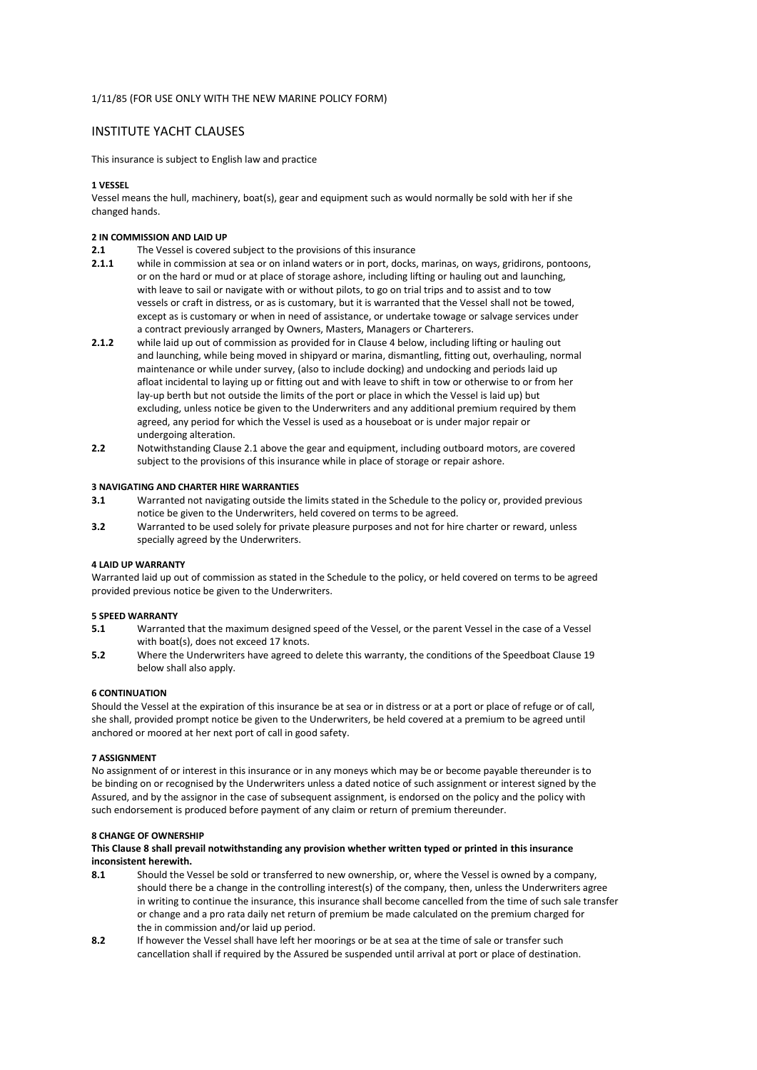## 1/11/85 (FOR USE ONLY WITH THE NEW MARINE POLICY FORM)

# INSTITUTE YACHT CLAUSES

This insurance is subject to English law and practice

# **1 VESSEL**

Vessel means the hull, machinery, boat(s), gear and equipment such as would normally be sold with her if she changed hands.

## **2 IN COMMISSION AND LAID UP**

- **2.1** The Vessel is covered subject to the provisions of this insurance
- **2.1.1** while in commission at sea or on inland waters or in port, docks, marinas, on ways, gridirons, pontoons, or on the hard or mud or at place of storage ashore, including lifting or hauling out and launching, with leave to sail or navigate with or without pilots, to go on trial trips and to assist and to tow vessels or craft in distress, or as is customary, but it is warranted that the Vessel shall not be towed, except as is customary or when in need of assistance, or undertake towage or salvage services under a contract previously arranged by Owners, Masters, Managers or Charterers.
- **2.1.2** while laid up out of commission as provided for in Clause 4 below, including lifting or hauling out and launching, while being moved in shipyard or marina, dismantling, fitting out, overhauling, normal maintenance or while under survey, (also to include docking) and undocking and periods laid up afloat incidental to laying up or fitting out and with leave to shift in tow or otherwise to or from her lay-up berth but not outside the limits of the port or place in which the Vessel is laid up) but excluding, unless notice be given to the Underwriters and any additional premium required by them agreed, any period for which the Vessel is used as a houseboat or is under major repair or undergoing alteration.
- **2.2** Notwithstanding Clause 2.1 above the gear and equipment, including outboard motors, are covered subject to the provisions of this insurance while in place of storage or repair ashore.

#### **3 NAVIGATING AND CHARTER HIRE WARRANTIES**

- **3.1** Warranted not navigating outside the limits stated in the Schedule to the policy or, provided previous notice be given to the Underwriters, held covered on terms to be agreed.
- **3.2** Warranted to be used solely for private pleasure purposes and not for hire charter or reward, unless specially agreed by the Underwriters.

#### **4 LAID UP WARRANTY**

Warranted laid up out of commission as stated in the Schedule to the policy, or held covered on terms to be agreed provided previous notice be given to the Underwriters.

#### **5 SPEED WARRANTY**

- **5.1** Warranted that the maximum designed speed of the Vessel, or the parent Vessel in the case of a Vessel with boat(s), does not exceed 17 knots.
- **5.2** Where the Underwriters have agreed to delete this warranty, the conditions of the Speedboat Clause 19 below shall also apply.

# **6 CONTINUATION**

Should the Vessel at the expiration of this insurance be at sea or in distress or at a port or place of refuge or of call, she shall, provided prompt notice be given to the Underwriters, be held covered at a premium to be agreed until anchored or moored at her next port of call in good safety.

#### **7 ASSIGNMENT**

No assignment of or interest in this insurance or in any moneys which may be or become payable thereunder is to be binding on or recognised by the Underwriters unless a dated notice of such assignment or interest signed by the Assured, and by the assignor in the case of subsequent assignment, is endorsed on the policy and the policy with such endorsement is produced before payment of any claim or return of premium thereunder.

#### **8 CHANGE OF OWNERSHIP**

#### **This Clause 8 shall prevail notwithstanding any provision whether written typed or printed in this insurance inconsistent herewith.**

- **8.1** Should the Vessel be sold or transferred to new ownership, or, where the Vessel is owned by a company, should there be a change in the controlling interest(s) of the company, then, unless the Underwriters agree in writing to continue the insurance, this insurance shall become cancelled from the time of such sale transfer or change and a pro rata daily net return of premium be made calculated on the premium charged for the in commission and/or laid up period.
- **8.2** If however the Vessel shall have left her moorings or be at sea at the time of sale or transfer such cancellation shall if required by the Assured be suspended until arrival at port or place of destination.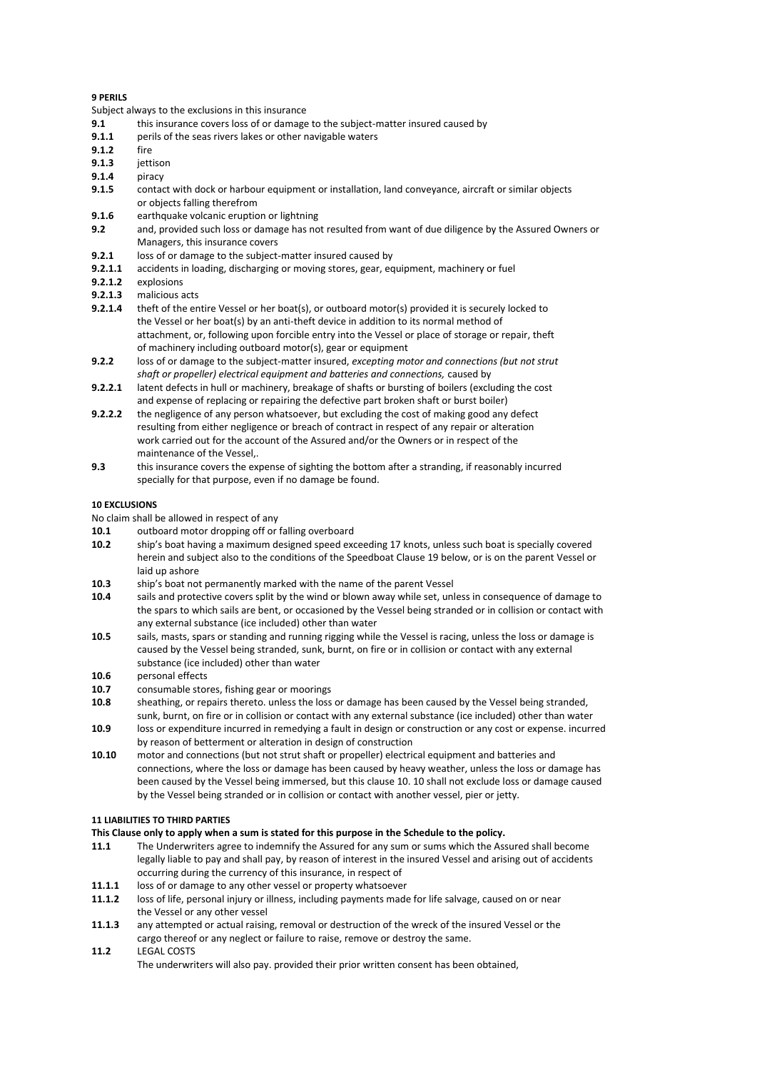# **9 PERILS**

Subject always to the exclusions in this insurance

- **9.1** this insurance covers loss of or damage to the subject-matter insured caused by **9.1.1** perils of the seas rivers lakes or other navigable waters
- **9.1.1** perils of the seas rivers lakes or other navigable waters
- **9.1.2** fire
- **9.1.3** jettison<br>**9.1.4** piracy
- **9.1.4** piracy
- **9.1.5** contact with dock or harbour equipment or installation, land conveyance, aircraft or similar objects or objects falling therefrom
- **9.1.6** earthquake volcanic eruption or lightning<br>**9.2** and provided such loss or damage has no
- **9.2** and, provided such loss or damage has not resulted from want of due diligence by the Assured Owners or Managers, this insurance covers
- **9.2.1** loss of or damage to the subject-matter insured caused by **9.2.1.1** accidents in loading, discharging or moving stores, gear, equally
- **9.2.1.1** accidents in loading, discharging or moving stores, gear, equipment, machinery or fuel
- **9.2.1.2** explosions
- **9.2.1.3** malicious acts
- **9.2.1.4** theft of the entire Vessel or her boat(s), or outboard motor(s) provided it is securely locked to the Vessel or her boat(s) by an anti-theft device in addition to its normal method of attachment, or, following upon forcible entry into the Vessel or place of storage or repair, theft of machinery including outboard motor(s), gear or equipment
- **9.2.2** loss of or damage to the subject-matter insured, *excepting motor and connections (but not strut shaft or propeller) electrical equipment and batteries and connections,* caused by
- **9.2.2.1** latent defects in hull or machinery, breakage of shafts or bursting of boilers (excluding the cost and expense of replacing or repairing the defective part broken shaft or burst boiler)
- **9.2.2.2** the negligence of any person whatsoever, but excluding the cost of making good any defect resulting from either negligence or breach of contract in respect of any repair or alteration work carried out for the account of the Assured and/or the Owners or in respect of the maintenance of the Vessel,.
- **9.3** this insurance covers the expense of sighting the bottom after a stranding, if reasonably incurred specially for that purpose, even if no damage be found.

#### **10 EXCLUSIONS**

No claim shall be allowed in respect of any

- **10.1** outboard motor dropping off or falling overboard
- **10.2** ship's boat having a maximum designed speed exceeding 17 knots, unless such boat is specially covered herein and subject also to the conditions of the Speedboat Clause 19 below, or is on the parent Vessel or laid up ashore
- **10.3** ship's boat not permanently marked with the name of the parent Vessel<br>**10.4** sails and protective covers split by the wind or blown away while set, unl
- **10.4** sails and protective covers split by the wind or blown away while set, unless in consequence of damage to the spars to which sails are bent, or occasioned by the Vessel being stranded or in collision or contact with any external substance (ice included) other than water
- **10.5** sails, masts, spars or standing and running rigging while the Vessel is racing, unless the loss or damage is caused by the Vessel being stranded, sunk, burnt, on fire or in collision or contact with any external substance (ice included) other than water
- 10.6 personal effects<br>10.7 consumable stor
- **10.7** consumable stores, fishing gear or moorings
- **10.8** sheathing, or repairs thereto. unless the loss or damage has been caused by the Vessel being stranded,
- sunk, burnt, on fire or in collision or contact with any external substance (ice included) other than water **10.9** loss or expenditure incurred in remedying a fault in design or construction or any cost or expense. incurred
- by reason of betterment or alteration in design of construction **10.10** motor and connections (but not strut shaft or propeller) electrical equipment and batteries and connections, where the loss or damage has been caused by heavy weather, unless the loss or damage has been caused by the Vessel being immersed, but this clause 10. 10 shall not exclude loss or damage caused by the Vessel being stranded or in collision or contact with another vessel, pier or jetty.

#### **11 LIABILITIES TO THIRD PARTIES**

#### **This Clause only to apply when a sum is stated for this purpose in the Schedule to the policy.**

- **11.1** The Underwriters agree to indemnify the Assured for any sum or sums which the Assured shall become legally liable to pay and shall pay, by reason of interest in the insured Vessel and arising out of accidents occurring during the currency of this insurance, in respect of
- **11.1.1** loss of or damage to any other vessel or property whatsoever
- **11.1.2** loss of life, personal injury or illness, including payments made for life salvage, caused on or near the Vessel or any other vessel
- **11.1.3** any attempted or actual raising, removal or destruction of the wreck of the insured Vessel or the cargo thereof or any neglect or failure to raise, remove or destroy the same.

# **11.2** LEGAL COSTS

The underwriters will also pay. provided their prior written consent has been obtained,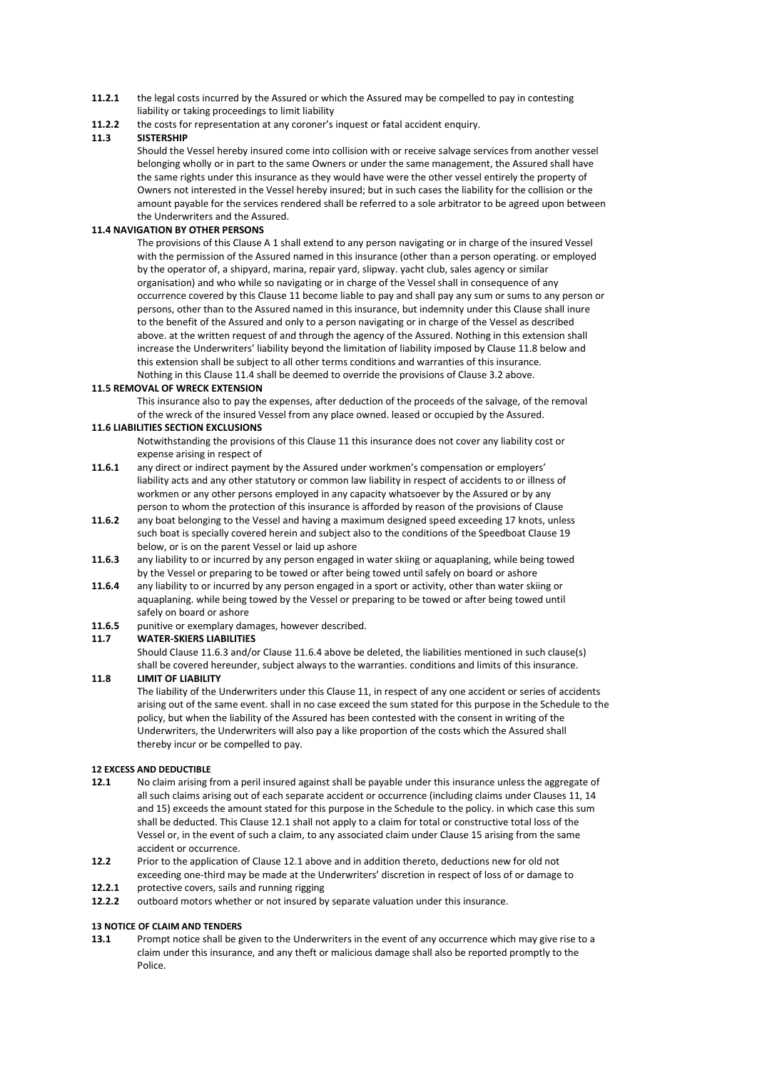- **11.2.1** the legal costs incurred by the Assured or which the Assured may be compelled to pay in contesting liability or taking proceedings to limit liability
- **11.2.2** the costs for representation at any coroner's inquest or fatal accident enquiry.

# **11.3 SISTERSHIP**

Should the Vessel hereby insured come into collision with or receive salvage services from another vessel belonging wholly or in part to the same Owners or under the same management, the Assured shall have the same rights under this insurance as they would have were the other vessel entirely the property of Owners not interested in the Vessel hereby insured; but in such cases the liability for the collision or the amount payable for the services rendered shall be referred to a sole arbitrator to be agreed upon between the Underwriters and the Assured.

# **11.4 NAVIGATION BY OTHER PERSONS**

The provisions of this Clause A 1 shall extend to any person navigating or in charge of the insured Vessel with the permission of the Assured named in this insurance (other than a person operating. or employed by the operator of, a shipyard, marina, repair yard, slipway. yacht club, sales agency or similar organisation) and who while so navigating or in charge of the Vessel shall in consequence of any occurrence covered by this Clause 11 become liable to pay and shall pay any sum or sums to any person or persons, other than to the Assured named in this insurance, but indemnity under this Clause shall inure to the benefit of the Assured and only to a person navigating or in charge of the Vessel as described above. at the written request of and through the agency of the Assured. Nothing in this extension shall increase the Underwriters' liability beyond the limitation of liability imposed by Clause 11.8 below and this extension shall be subject to all other terms conditions and warranties of this insurance. Nothing in this Clause 11.4 shall be deemed to override the provisions of Clause 3.2 above.

#### **11.5 REMOVAL OF WRECK EXTENSION**

This insurance also to pay the expenses, after deduction of the proceeds of the salvage, of the removal of the wreck of the insured Vessel from any place owned. leased or occupied by the Assured.

## **11.6 LIABILITIES SECTION EXCLUSIONS**

Notwithstanding the provisions of this Clause 11 this insurance does not cover any liability cost or expense arising in respect of

- **11.6.1** any direct or indirect payment by the Assured under workmen's compensation or employers' liability acts and any other statutory or common law liability in respect of accidents to or illness of workmen or any other persons employed in any capacity whatsoever by the Assured or by any person to whom the protection of this insurance is afforded by reason of the provisions of Clause
- **11.6.2** any boat belonging to the Vessel and having a maximum designed speed exceeding 17 knots, unless such boat is specially covered herein and subject also to the conditions of the Speedboat Clause 19 below, or is on the parent Vessel or laid up ashore
- **11.6.3** any liability to or incurred by any person engaged in water skiing or aquaplaning, while being towed by the Vessel or preparing to be towed or after being towed until safely on board or ashore
- **11.6.4** any liability to or incurred by any person engaged in a sport or activity, other than water skiing or aquaplaning. while being towed by the Vessel or preparing to be towed or after being towed until safely on board or ashore
- **11.6.5** punitive or exemplary damages, however described.

# **11.7 WATER-SKIERS LIABILITIES**

Should Clause 11.6.3 and/or Clause 11.6.4 above be deleted, the liabilities mentioned in such clause(s) shall be covered hereunder, subject always to the warranties. conditions and limits of this insurance.

# **11.8 LIMIT OF LIABILITY**

The liability of the Underwriters under this Clause 11, in respect of any one accident or series of accidents arising out of the same event. shall in no case exceed the sum stated for this purpose in the Schedule to the policy, but when the liability of the Assured has been contested with the consent in writing of the Underwriters, the Underwriters will also pay a like proportion of the costs which the Assured shall thereby incur or be compelled to pay.

#### **12 EXCESS AND DEDUCTIBLE**

- **12.1** No claim arising from a peril insured against shall be payable under this insurance unless the aggregate of all such claims arising out of each separate accident or occurrence (including claims under Clauses 11, 14 and 15) exceeds the amount stated for this purpose in the Schedule to the policy. in which case this sum shall be deducted. This Clause 12.1 shall not apply to a claim for total or constructive total loss of the Vessel or, in the event of such a claim, to any associated claim under Clause 15 arising from the same accident or occurrence.
- **12.2** Prior to the application of Clause 12.1 above and in addition thereto, deductions new for old not exceeding one-third may be made at the Underwriters' discretion in respect of loss of or damage to
- **12.2.1** protective covers, sails and running rigging
- 12.2.2 outboard motors whether or not insured by separate valuation under this insurance.

# **13 NOTICE OF CLAIM AND TENDERS**

**13.1** Prompt notice shall be given to the Underwriters in the event of any occurrence which may give rise to a claim under this insurance, and any theft or malicious damage shall also be reported promptly to the Police.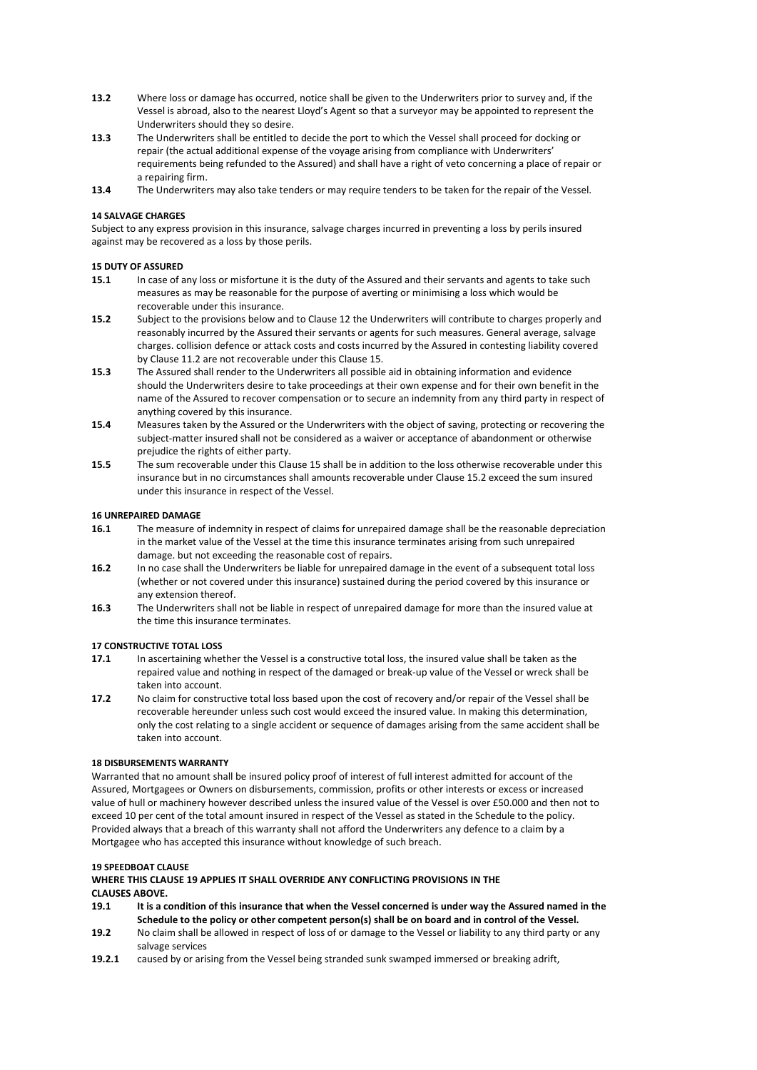- **13.2** Where loss or damage has occurred, notice shall be given to the Underwriters prior to survey and, if the Vessel is abroad, also to the nearest Lloyd's Agent so that a surveyor may be appointed to represent the Underwriters should they so desire.
- **13.3** The Underwriters shall be entitled to decide the port to which the Vessel shall proceed for docking or repair (the actual additional expense of the voyage arising from compliance with Underwriters' requirements being refunded to the Assured) and shall have a right of veto concerning a place of repair or a repairing firm.
- **13.4** The Underwriters may also take tenders or may require tenders to be taken for the repair of the Vessel.

#### **14 SALVAGE CHARGES**

Subject to any express provision in this insurance, salvage charges incurred in preventing a loss by perils insured against may be recovered as a loss by those perils.

#### **15 DUTY OF ASSURED**

- **15.1** In case of any loss or misfortune it is the duty of the Assured and their servants and agents to take such measures as may be reasonable for the purpose of averting or minimising a loss which would be recoverable under this insurance.
- **15.2** Subject to the provisions below and to Clause 12 the Underwriters will contribute to charges properly and reasonably incurred by the Assured their servants or agents for such measures. General average, salvage charges. collision defence or attack costs and costs incurred by the Assured in contesting liability covered by Clause 11.2 are not recoverable under this Clause 15.
- **15.3** The Assured shall render to the Underwriters all possible aid in obtaining information and evidence should the Underwriters desire to take proceedings at their own expense and for their own benefit in the name of the Assured to recover compensation or to secure an indemnity from any third party in respect of anything covered by this insurance.
- **15.4** Measures taken by the Assured or the Underwriters with the object of saving, protecting or recovering the subject-matter insured shall not be considered as a waiver or acceptance of abandonment or otherwise prejudice the rights of either party.
- **15.5** The sum recoverable under this Clause 15 shall be in addition to the loss otherwise recoverable under this insurance but in no circumstances shall amounts recoverable under Clause 15.2 exceed the sum insured under this insurance in respect of the Vessel.

#### **16 UNREPAIRED DAMAGE**

- **16.1** The measure of indemnity in respect of claims for unrepaired damage shall be the reasonable depreciation in the market value of the Vessel at the time this insurance terminates arising from such unrepaired damage. but not exceeding the reasonable cost of repairs.
- **16.2** In no case shall the Underwriters be liable for unrepaired damage in the event of a subsequent total loss (whether or not covered under this insurance) sustained during the period covered by this insurance or any extension thereof.
- **16.3** The Underwriters shall not be liable in respect of unrepaired damage for more than the insured value at the time this insurance terminates.

### **17 CONSTRUCTIVE TOTAL LOSS**

- **17.1** In ascertaining whether the Vessel is a constructive total loss, the insured value shall be taken as the repaired value and nothing in respect of the damaged or break-up value of the Vessel or wreck shall be taken into account.
- **17.2** No claim for constructive total loss based upon the cost of recovery and/or repair of the Vessel shall be recoverable hereunder unless such cost would exceed the insured value. In making this determination, only the cost relating to a single accident or sequence of damages arising from the same accident shall be taken into account.

#### **18 DISBURSEMENTS WARRANTY**

Warranted that no amount shall be insured policy proof of interest of full interest admitted for account of the Assured, Mortgagees or Owners on disbursements, commission, profits or other interests or excess or increased value of hull or machinery however described unless the insured value of the Vessel is over £50.000 and then not to exceed 10 per cent of the total amount insured in respect of the Vessel as stated in the Schedule to the policy. Provided always that a breach of this warranty shall not afford the Underwriters any defence to a claim by a Mortgagee who has accepted this insurance without knowledge of such breach.

# **19 SPEEDBOAT CLAUSE**

# **WHERE THIS CLAUSE 19 APPLIES IT SHALL OVERRIDE ANY CONFLICTING PROVISIONS IN THE CLAUSES ABOVE.**

- **19.1 It is a condition of this insurance that when the Vessel concerned is under way the Assured named in the Schedule to the policy or other competent person(s) shall be on board and in control of the Vessel.**
- **19.2** No claim shall be allowed in respect of loss of or damage to the Vessel or liability to any third party or any salvage services
- **19.2.1** caused by or arising from the Vessel being stranded sunk swamped immersed or breaking adrift,